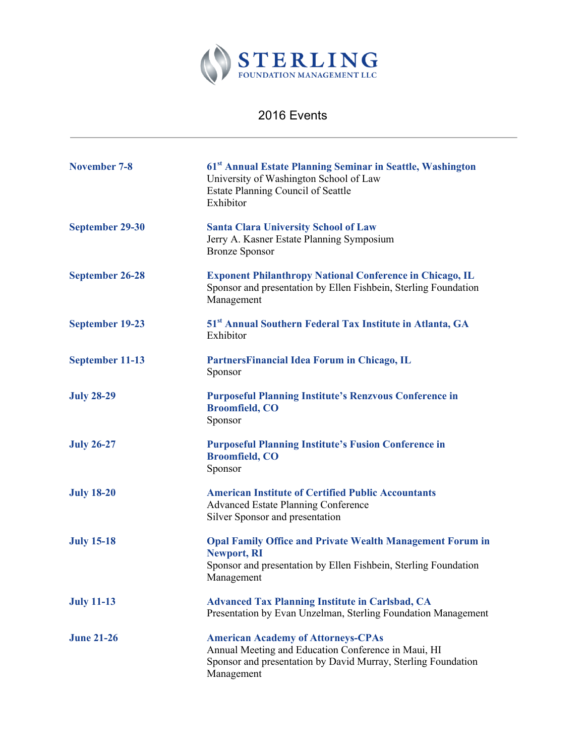

## 2016 Events

| November 7-8      | 61 <sup>st</sup> Annual Estate Planning Seminar in Seattle, Washington<br>University of Washington School of Law<br><b>Estate Planning Council of Seattle</b><br>Exhibitor      |
|-------------------|---------------------------------------------------------------------------------------------------------------------------------------------------------------------------------|
| September 29-30   | <b>Santa Clara University School of Law</b><br>Jerry A. Kasner Estate Planning Symposium<br><b>Bronze Sponsor</b>                                                               |
| September 26-28   | <b>Exponent Philanthropy National Conference in Chicago, IL</b><br>Sponsor and presentation by Ellen Fishbein, Sterling Foundation<br>Management                                |
| September 19-23   | 51 <sup>st</sup> Annual Southern Federal Tax Institute in Atlanta, GA<br>Exhibitor                                                                                              |
| September 11-13   | PartnersFinancial Idea Forum in Chicago, IL<br>Sponsor                                                                                                                          |
| <b>July 28-29</b> | <b>Purposeful Planning Institute's Renzvous Conference in</b><br><b>Broomfield, CO</b><br>Sponsor                                                                               |
| <b>July 26-27</b> | <b>Purposeful Planning Institute's Fusion Conference in</b><br><b>Broomfield, CO</b><br>Sponsor                                                                                 |
| <b>July 18-20</b> | <b>American Institute of Certified Public Accountants</b><br><b>Advanced Estate Planning Conference</b><br>Silver Sponsor and presentation                                      |
| <b>July 15-18</b> | <b>Opal Family Office and Private Wealth Management Forum in</b><br><b>Newport, RI</b><br>Sponsor and presentation by Ellen Fishbein, Sterling Foundation<br>Management         |
| <b>July 11-13</b> | <b>Advanced Tax Planning Institute in Carlsbad, CA</b><br>Presentation by Evan Unzelman, Sterling Foundation Management                                                         |
| <b>June 21-26</b> | <b>American Academy of Attorneys-CPAs</b><br>Annual Meeting and Education Conference in Maui, HI<br>Sponsor and presentation by David Murray, Sterling Foundation<br>Management |